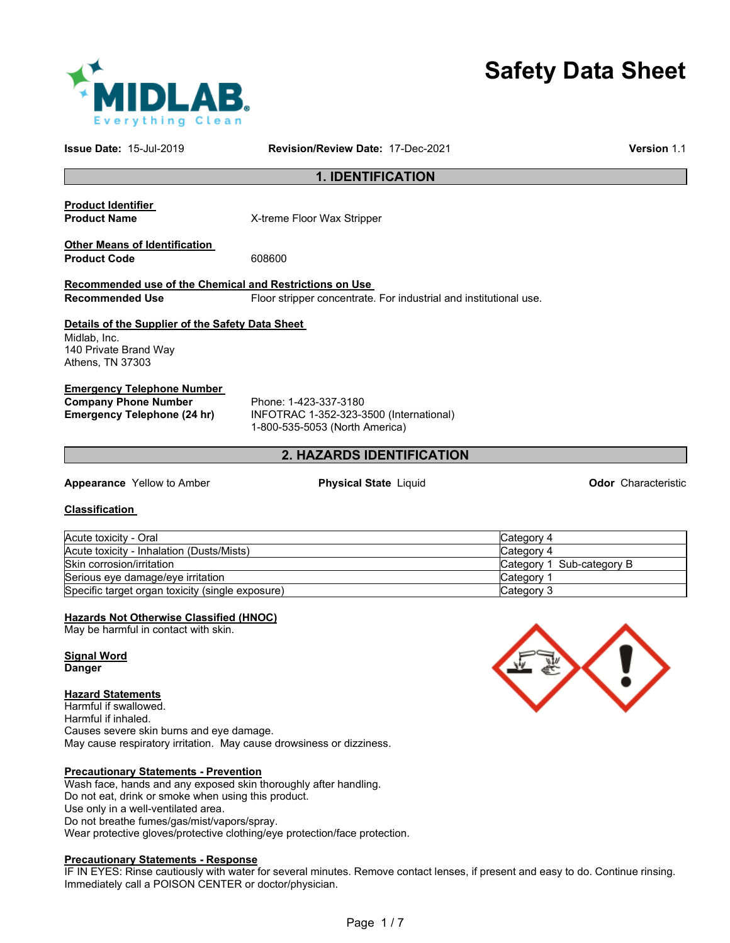# **Safety Data Sheet**

| <b>MIDLAB</b>           |
|-------------------------|
| <b>Everything Clean</b> |

| Issue Date: 15-Jul-2019                                              | Revision/Review Date: 17-Dec-2021                                         | Version 1.1                |
|----------------------------------------------------------------------|---------------------------------------------------------------------------|----------------------------|
|                                                                      | <b>1. IDENTIFICATION</b>                                                  |                            |
| <b>Product Identifier</b>                                            |                                                                           |                            |
| <b>Product Name</b>                                                  | X-treme Floor Wax Stripper                                                |                            |
| <b>Other Means of Identification</b>                                 |                                                                           |                            |
| <b>Product Code</b>                                                  | 608600                                                                    |                            |
| Recommended use of the Chemical and Restrictions on Use              |                                                                           |                            |
| <b>Recommended Use</b>                                               | Floor stripper concentrate. For industrial and institutional use.         |                            |
| Details of the Supplier of the Safety Data Sheet                     |                                                                           |                            |
| Midlab, Inc.                                                         |                                                                           |                            |
| 140 Private Brand Way                                                |                                                                           |                            |
| Athens, TN 37303                                                     |                                                                           |                            |
| <b>Emergency Telephone Number</b>                                    |                                                                           |                            |
| <b>Company Phone Number</b>                                          | Phone: 1-423-337-3180                                                     |                            |
| <b>Emergency Telephone (24 hr)</b>                                   | INFOTRAC 1-352-323-3500 (International)<br>1-800-535-5053 (North America) |                            |
|                                                                      |                                                                           |                            |
|                                                                      | 2. HAZARDS IDENTIFICATION                                                 |                            |
| Appearance Yellow to Amber                                           | <b>Physical State Liquid</b>                                              | <b>Odor</b> Characteristic |
| <b>Classification</b>                                                |                                                                           |                            |
| Acute toxicity - Oral                                                |                                                                           | Category 4                 |
| Acute toxicity - Inhalation (Dusts/Mists)                            |                                                                           | Category 4                 |
| Skin corrosion/irritation                                            |                                                                           | Category 1 Sub-category B  |
| Serious eye damage/eye irritation                                    |                                                                           | Category 1                 |
| Specific target organ toxicity (single exposure)                     |                                                                           | Category 3                 |
| Hazards Not Otherwise Classified (HNOC)                              |                                                                           |                            |
| May be harmful in contact with skin.                                 |                                                                           |                            |
| <b>Signal Word</b>                                                   |                                                                           |                            |
| <b>Danger</b>                                                        |                                                                           |                            |
|                                                                      |                                                                           |                            |
| <b>Hazard Statements</b><br>Harmful if swallowed.                    |                                                                           |                            |
| Harmful if inhaled.                                                  |                                                                           |                            |
| Causes severe skin burns and eye damage.                             |                                                                           |                            |
| May cause respiratory irritation. May cause drowsiness or dizziness. |                                                                           |                            |
|                                                                      |                                                                           |                            |
| <b>Precautionary Statements - Prevention</b>                         |                                                                           |                            |

Wash face, hands and any exposed skin thoroughly after handling. Do not eat, drink or smoke when using this product. Use only in a well-ventilated area. Do not breathe fumes/gas/mist/vapors/spray. Wear protective gloves/protective clothing/eye protection/face protection.

#### **Precautionary Statements - Response**

IF IN EYES: Rinse cautiously with water for several minutes. Remove contact lenses, if present and easy to do. Continue rinsing. Immediately call a POISON CENTER or doctor/physician.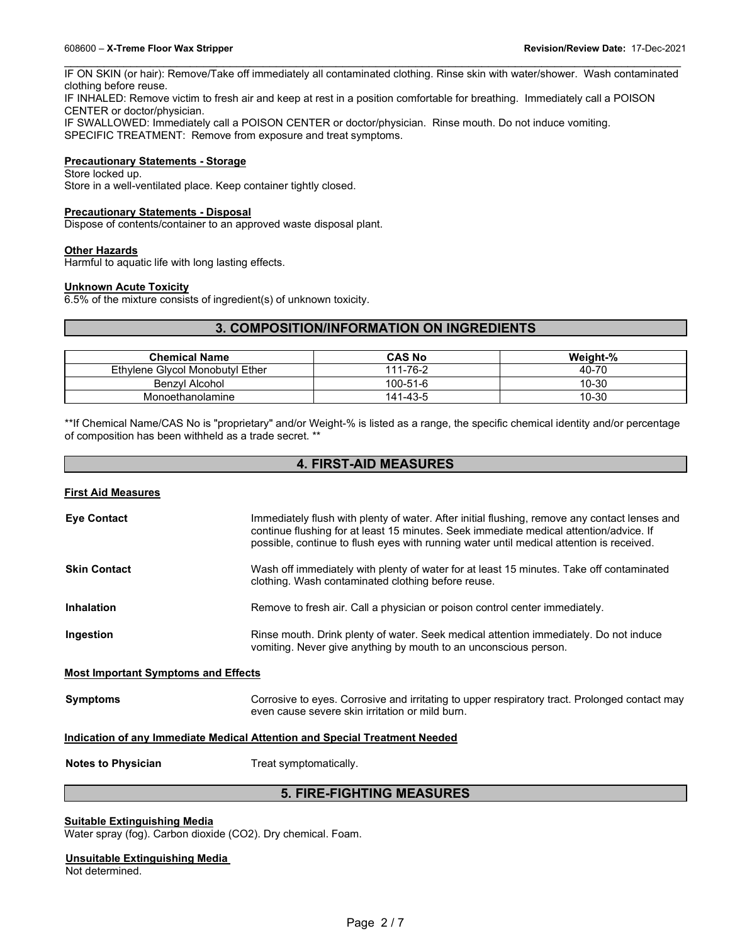\_\_\_\_\_\_\_\_\_\_\_\_\_\_\_\_\_\_\_\_\_\_\_\_\_\_\_\_\_\_\_\_\_\_\_\_\_\_\_\_\_\_\_\_\_\_\_\_\_\_\_\_\_\_\_\_\_\_\_\_\_\_\_\_\_\_\_\_\_\_\_\_\_\_\_\_\_\_\_\_\_\_\_\_\_\_\_\_\_\_\_\_\_ IF ON SKIN (or hair): Remove/Take off immediately all contaminated clothing. Rinse skin with water/shower. Wash contaminated clothing before reuse.

IF INHALED: Remove victim to fresh air and keep at rest in a position comfortable for breathing. Immediately call a POISON CENTER or doctor/physician.

IF SWALLOWED: Immediately call a POISON CENTER or doctor/physician. Rinse mouth. Do not induce vomiting. SPECIFIC TREATMENT: Remove from exposure and treat symptoms.

### **Precautionary Statements - Storage**

Store locked up. Store in a well-ventilated place. Keep container tightly closed.

#### **Precautionary Statements - Disposal**

Dispose of contents/container to an approved waste disposal plant.

#### **Other Hazards**

Harmful to aquatic life with long lasting effects.

#### **Unknown Acute Toxicity**

6.5% of the mixture consists of ingredient(s) of unknown toxicity.

# **3. COMPOSITION/INFORMATION ON INGREDIENTS**

| <b>Chemical Name</b>            | <b>CAS No</b>  | Weight-% |
|---------------------------------|----------------|----------|
| Ethylene Givcol Monobutyl Ether | 111-76-2       | 40-70    |
| Benzvl Alcohol                  | $100 - 51 - 6$ | 10-30    |
| Monoethanolamine                | 141-43-5       | 10-30    |

\*\*If Chemical Name/CAS No is "proprietary" and/or Weight-% is listed as a range, the specific chemical identity and/or percentage of composition has been withheld as a trade secret. \*\*

| <b>4. FIRST-AID MEASURES</b><br><b>First Aid Measures</b> |                                                                                                                                                           |  |
|-----------------------------------------------------------|-----------------------------------------------------------------------------------------------------------------------------------------------------------|--|
|                                                           |                                                                                                                                                           |  |
| <b>Skin Contact</b>                                       | Wash off immediately with plenty of water for at least 15 minutes. Take off contaminated<br>clothing. Wash contaminated clothing before reuse.            |  |
| Inhalation                                                | Remove to fresh air. Call a physician or poison control center immediately.                                                                               |  |
| Ingestion                                                 | Rinse mouth. Drink plenty of water. Seek medical attention immediately. Do not induce<br>vomiting. Never give anything by mouth to an unconscious person. |  |
| <b>Most Important Symptoms and Effects</b>                |                                                                                                                                                           |  |
| <b>Symptoms</b>                                           | Corrosive to eyes. Corrosive and irritating to upper respiratory tract. Prolonged contact may<br>even cause severe skin irritation or mild burn.          |  |
|                                                           | Indication of any Immediate Medical Attention and Special Treatment Needed                                                                                |  |
| <b>Notes to Physician</b>                                 | Treat symptomatically.                                                                                                                                    |  |
| <b>5. FIRE-FIGHTING MEASURES</b>                          |                                                                                                                                                           |  |

**Suitable Extinguishing Media** Water spray (fog). Carbon dioxide (CO2). Dry chemical. Foam.

### **Unsuitable Extinguishing Media**

Not determined.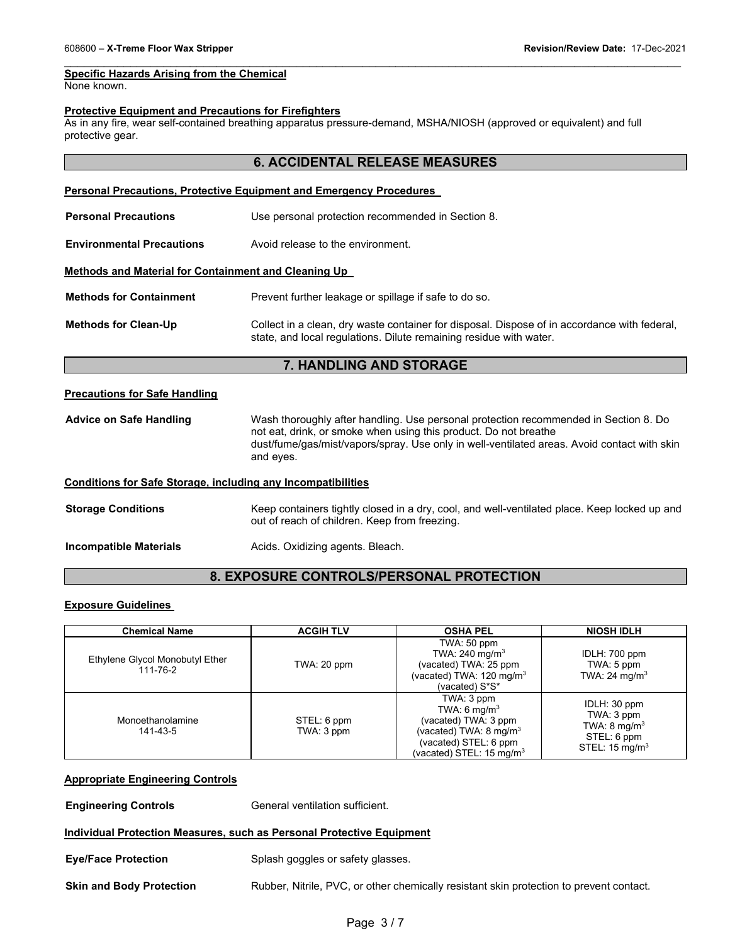#### **Specific Hazards Arising from the Chemical**

None known.

### **Protective Equipment and Precautions for Firefighters**

As in any fire, wear self-contained breathing apparatus pressure-demand, MSHA/NIOSH (approved or equivalent) and full protective gear.

\_\_\_\_\_\_\_\_\_\_\_\_\_\_\_\_\_\_\_\_\_\_\_\_\_\_\_\_\_\_\_\_\_\_\_\_\_\_\_\_\_\_\_\_\_\_\_\_\_\_\_\_\_\_\_\_\_\_\_\_\_\_\_\_\_\_\_\_\_\_\_\_\_\_\_\_\_\_\_\_\_\_\_\_\_\_\_\_\_\_\_\_\_

|                                                                     | <b>6. ACCIDENTAL RELEASE MEASURES</b>                                                                                                                                                                                                                                |
|---------------------------------------------------------------------|----------------------------------------------------------------------------------------------------------------------------------------------------------------------------------------------------------------------------------------------------------------------|
|                                                                     | <b>Personal Precautions, Protective Equipment and Emergency Procedures</b>                                                                                                                                                                                           |
| <b>Personal Precautions</b>                                         | Use personal protection recommended in Section 8.                                                                                                                                                                                                                    |
| <b>Environmental Precautions</b>                                    | Avoid release to the environment.                                                                                                                                                                                                                                    |
| <b>Methods and Material for Containment and Cleaning Up</b>         |                                                                                                                                                                                                                                                                      |
| <b>Methods for Containment</b>                                      | Prevent further leakage or spillage if safe to do so.                                                                                                                                                                                                                |
| <b>Methods for Clean-Up</b>                                         | Collect in a clean, dry waste container for disposal. Dispose of in accordance with federal,<br>state, and local regulations. Dilute remaining residue with water.                                                                                                   |
|                                                                     |                                                                                                                                                                                                                                                                      |
|                                                                     | 7. HANDLING AND STORAGE                                                                                                                                                                                                                                              |
| <b>Precautions for Safe Handling</b>                                |                                                                                                                                                                                                                                                                      |
| <b>Advice on Safe Handling</b>                                      | Wash thoroughly after handling. Use personal protection recommended in Section 8. Do<br>not eat, drink, or smoke when using this product. Do not breathe<br>dust/fume/gas/mist/vapors/spray. Use only in well-ventilated areas. Avoid contact with skin<br>and eyes. |
| <b>Conditions for Safe Storage, including any Incompatibilities</b> |                                                                                                                                                                                                                                                                      |
| <b>Storage Conditions</b>                                           | Keep containers tightly closed in a dry, cool, and well-ventilated place. Keep locked up and<br>out of reach of children. Keep from freezing.                                                                                                                        |

# **8. EXPOSURE CONTROLS/PERSONAL PROTECTION**

#### **Exposure Guidelines**

| <b>Chemical Name</b>                        | <b>ACGIH TLV</b>          | <b>OSHA PEL</b>                                                                                                                                                       | <b>NIOSH IDLH</b>                                                                                 |
|---------------------------------------------|---------------------------|-----------------------------------------------------------------------------------------------------------------------------------------------------------------------|---------------------------------------------------------------------------------------------------|
| Ethylene Glycol Monobutyl Ether<br>111-76-2 | TWA: 20 ppm               | TWA: 50 ppm<br>TWA: $240 \text{ mg/m}^3$<br>(vacated) TWA: 25 ppm<br>(vacated) TWA: 120 mg/m <sup>3</sup><br>(vacated) S*S*                                           | IDLH: 700 ppm<br>TWA: 5 ppm<br>TWA: 24 mg/m <sup>3</sup>                                          |
| Monoethanolamine<br>141-43-5                | STEL: 6 ppm<br>TWA: 3 ppm | TWA: 3 ppm<br>TWA: 6 mg/m <sup>3</sup><br>(vacated) TWA: 3 ppm<br>(vacated) TWA: 8 mg/m <sup>3</sup><br>(vacated) STEL: 6 ppm<br>(vacated) STEL: 15 mg/m <sup>3</sup> | IDLH: 30 ppm<br>TWA: 3 ppm<br>TWA: $8 \text{ mg/m}^3$<br>STEL: 6 ppm<br>STEL: $15 \text{ mq/m}^3$ |

#### **Appropriate Engineering Controls**

**Engineering Controls General ventilation sufficient.** 

#### **Individual Protection Measures, such as Personal Protective Equipment**

**Eye/Face Protection Splash goggles or safety glasses.** 

**Skin and Body Protection** Rubber, Nitrile, PVC, or other chemically resistant skin protection to prevent contact.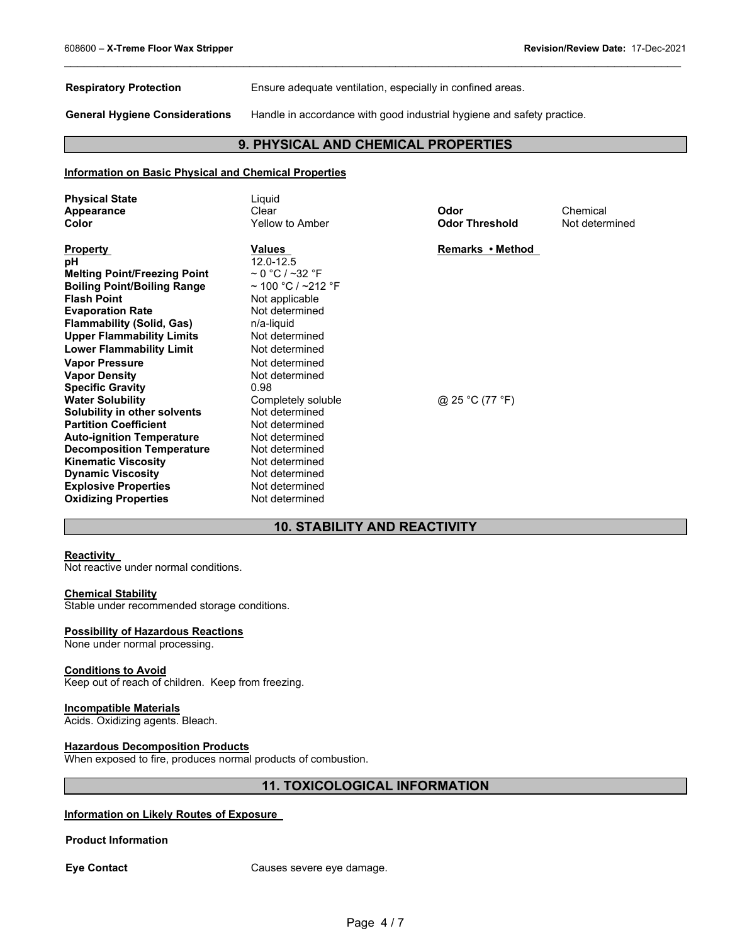**Respiratory Protection** Ensure adequate ventilation, especially in confined areas.

**General Hygiene Considerations** Handle in accordance with good industrial hygiene and safety practice.

# **9. PHYSICAL AND CHEMICAL PROPERTIES**

\_\_\_\_\_\_\_\_\_\_\_\_\_\_\_\_\_\_\_\_\_\_\_\_\_\_\_\_\_\_\_\_\_\_\_\_\_\_\_\_\_\_\_\_\_\_\_\_\_\_\_\_\_\_\_\_\_\_\_\_\_\_\_\_\_\_\_\_\_\_\_\_\_\_\_\_\_\_\_\_\_\_\_\_\_\_\_\_\_\_\_\_\_

#### **Information on Basic Physical and Chemical Properties**

| <b>Physical State</b><br>Appearance<br>Color                                                                                                                                                                                                                                                                       | Liguid<br>Clear<br>Yellow to Amber                                                                                                                                                               | Odor<br><b>Odor Threshold</b> | Chemical<br>Not determined |
|--------------------------------------------------------------------------------------------------------------------------------------------------------------------------------------------------------------------------------------------------------------------------------------------------------------------|--------------------------------------------------------------------------------------------------------------------------------------------------------------------------------------------------|-------------------------------|----------------------------|
| <b>Property</b><br>pH<br><b>Melting Point/Freezing Point</b><br><b>Boiling Point/Boiling Range</b><br><b>Flash Point</b><br><b>Evaporation Rate</b><br><b>Flammability (Solid, Gas)</b><br><b>Upper Flammability Limits</b><br><b>Lower Flammability Limit</b><br><b>Vapor Pressure</b><br><b>Vapor Density</b>    | Values<br>12.0-12.5<br>$\sim$ 0 °C / ~32 °F<br>$\sim$ 100 °C / ~212 °F<br>Not applicable<br>Not determined<br>n/a-liquid<br>Not determined<br>Not determined<br>Not determined<br>Not determined | Remarks • Method              |                            |
| <b>Specific Gravity</b><br><b>Water Solubility</b><br>Solubility in other solvents<br><b>Partition Coefficient</b><br><b>Auto-ignition Temperature</b><br><b>Decomposition Temperature</b><br><b>Kinematic Viscosity</b><br><b>Dynamic Viscosity</b><br><b>Explosive Properties</b><br><b>Oxidizing Properties</b> | 0.98<br>Completely soluble<br>Not determined<br>Not determined<br>Not determined<br>Not determined<br>Not determined<br>Not determined<br>Not determined<br>Not determined                       | @ 25 °C (77 °F)               |                            |

# **10. STABILITY AND REACTIVITY**

#### **Reactivity**

Not reactive under normal conditions.

#### **Chemical Stability**

Stable under recommended storage conditions.

#### **Possibility of Hazardous Reactions**

None under normal processing.

#### **Conditions to Avoid**

Keep out of reach of children. Keep from freezing.

#### **Incompatible Materials**

Acids. Oxidizing agents. Bleach.

#### **Hazardous Decomposition Products**

When exposed to fire, produces normal products of combustion.

# **11. TOXICOLOGICAL INFORMATION**

#### **Information on Likely Routes of Exposure**

#### **Product Information**

**Eye Contact Causes severe eye damage.**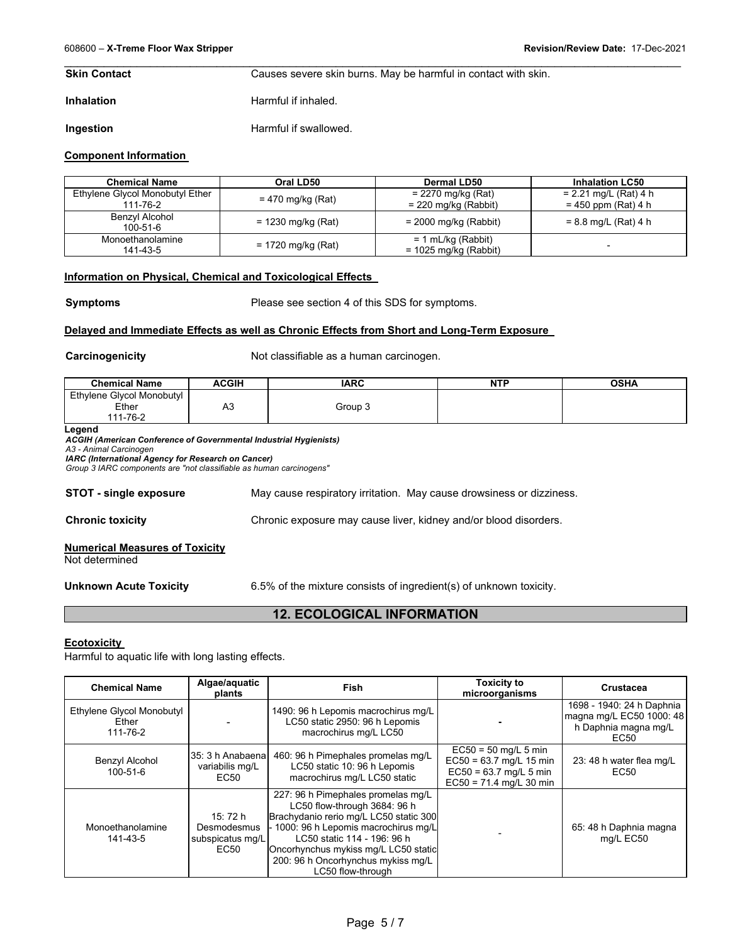**Skin Contact Causes severe skin burns. May be harmful in contact with skin.** 

**Inhalation Harmful if inhaled.** 

**Ingestion Harmful if swallowed.** 

#### **Component Information**

| <b>Chemical Name</b>                        | Oral LD50            | Dermal LD50                                    | <b>Inhalation LC50</b>                           |
|---------------------------------------------|----------------------|------------------------------------------------|--------------------------------------------------|
| Ethylene Glycol Monobutyl Ether<br>111-76-2 | = 470 mg/kg (Rat)    | $= 2270$ mg/kg (Rat)<br>$= 220$ mg/kg (Rabbit) | $= 2.21$ mg/L (Rat) 4 h<br>$= 450$ ppm (Rat) 4 h |
| Benzyl Alcohol<br>100-51-6                  | $= 1230$ mg/kg (Rat) | $= 2000$ mg/kg (Rabbit)                        | $= 8.8$ mg/L (Rat) 4 h                           |
| Monoethanolamine<br>141-43-5                | = 1720 mg/kg (Rat)   | = 1 mL/kg (Rabbit)<br>$= 1025$ mg/kg (Rabbit)  | $\overline{\phantom{0}}$                         |

\_\_\_\_\_\_\_\_\_\_\_\_\_\_\_\_\_\_\_\_\_\_\_\_\_\_\_\_\_\_\_\_\_\_\_\_\_\_\_\_\_\_\_\_\_\_\_\_\_\_\_\_\_\_\_\_\_\_\_\_\_\_\_\_\_\_\_\_\_\_\_\_\_\_\_\_\_\_\_\_\_\_\_\_\_\_\_\_\_\_\_\_\_

#### **Information on Physical, Chemical and Toxicological Effects**

**Symptoms** Please see section 4 of this SDS for symptoms.

#### **Delayed and Immediate Effects as well as Chronic Effects from Short and Long-Term Exposure**

**Carcinogenicity Carcinogenicity Not classifiable as a human carcinogen.** 

| <b>Chemical Name</b>      | <b>ACGIH</b> | <b>IARC</b> | <b>NTP</b> | <b>OSHA</b> |
|---------------------------|--------------|-------------|------------|-------------|
| Ethylene Glycol Monobutyl |              |             |            |             |
| Ether                     | nυ           | Group 3     |            |             |
| 11-76-2                   |              |             |            |             |

**Legend** 

*ACGIH (American Conference of Governmental Industrial Hygienists) A3 - Animal Carcinogen IARC (International Agency for Research on Cancer)*

*Group 3 IARC components are "not classifiable as human carcinogens"* 

**STOT - single exposure** May cause respiratory irritation. May cause drowsiness or dizziness.

**Chronic toxicity** Chronic exposure may cause liver, kidney and/or blood disorders.

# **Numerical Measures of Toxicity**

Not determined

**Unknown Acute Toxicity** 6.5% of the mixture consists of ingredient(s) of unknown toxicity.

# **12. ECOLOGICAL INFORMATION**

#### **Ecotoxicity**

Harmful to aquatic life with long lasting effects.

| <b>Chemical Name</b>                           | Algae/aquatic<br>plants                             | <b>Fish</b>                                                                                                                                                                                                                                                                             | <b>Toxicity to</b><br>microorganisms                                                                         | <b>Crustacea</b>                                                                      |
|------------------------------------------------|-----------------------------------------------------|-----------------------------------------------------------------------------------------------------------------------------------------------------------------------------------------------------------------------------------------------------------------------------------------|--------------------------------------------------------------------------------------------------------------|---------------------------------------------------------------------------------------|
| Ethylene Glycol Monobutyl<br>Ether<br>111-76-2 |                                                     | 1490: 96 h Lepomis macrochirus mg/L<br>LC50 static 2950: 96 h Lepomis<br>macrochirus mg/L LC50                                                                                                                                                                                          |                                                                                                              | 1698 - 1940: 24 h Daphnia<br>magna mg/L EC50 1000: 48<br>h Daphnia magna mg/L<br>EC50 |
| Benzyl Alcohol<br>100-51-6                     | 35: 3 h Anabaena<br>variabilis mg/L<br>EC50         | 460: 96 h Pimephales promelas mg/L<br>LC50 static 10: 96 h Lepomis<br>macrochirus mg/L LC50 static                                                                                                                                                                                      | $EC50 = 50$ mg/L 5 min<br>$EC50 = 63.7$ mg/L 15 min<br>$EC50 = 63.7$ mg/L 5 min<br>$EC50 = 71.4$ mg/L 30 min | 23: 48 h water flea mg/L<br>EC50                                                      |
| Monoethanolamine<br>141-43-5                   | 15: 72 h<br>Desmodesmus<br>subspicatus mg/L<br>EC50 | 227: 96 h Pimephales promelas mg/L<br>LC50 flow-through 3684: 96 h<br>Brachydanio rerio mg/L LC50 static 300<br>- 1000: 96 h Lepomis macrochirus mg/L<br>LC50 static 114 - 196: 96 h<br>Oncorhynchus mykiss mg/L LC50 static<br>200: 96 h Oncorhynchus mykiss mg/L<br>LC50 flow-through |                                                                                                              | 65: 48 h Daphnia magna<br>mg/L EC50                                                   |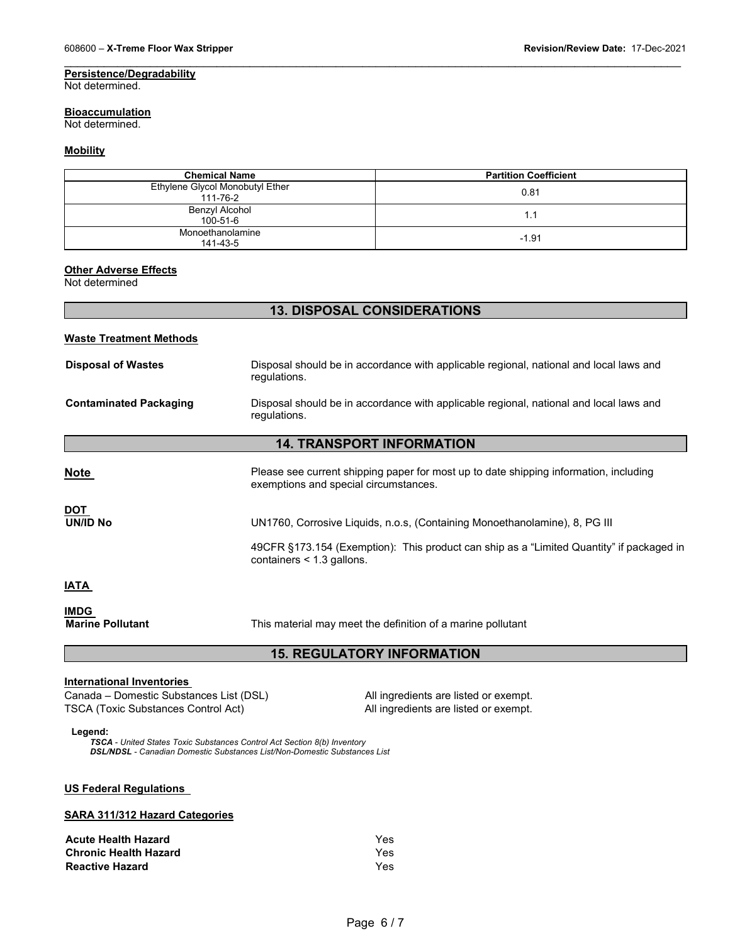# **Persistence/Degradability**

Not determined.

#### **Bioaccumulation**

Not determined.

#### **Mobility**

| <b>Chemical Name</b>                        | <b>Partition Coefficient</b> |
|---------------------------------------------|------------------------------|
| Ethylene Glycol Monobutyl Ether<br>111-76-2 | 0.81                         |
| Benzyl Alcohol<br>100-51-6                  | 1.1                          |
| Monoethanolamine<br>141-43-5                | $-1.91$                      |

\_\_\_\_\_\_\_\_\_\_\_\_\_\_\_\_\_\_\_\_\_\_\_\_\_\_\_\_\_\_\_\_\_\_\_\_\_\_\_\_\_\_\_\_\_\_\_\_\_\_\_\_\_\_\_\_\_\_\_\_\_\_\_\_\_\_\_\_\_\_\_\_\_\_\_\_\_\_\_\_\_\_\_\_\_\_\_\_\_\_\_\_\_

#### **Other Adverse Effects**

Not determined

# **13. DISPOSAL CONSIDERATIONS**

# **Waste Treatment Methods**

| <b>Disposal of Wastes</b>     | Disposal should be in accordance with applicable regional, national and local laws and<br>regulations.                         |
|-------------------------------|--------------------------------------------------------------------------------------------------------------------------------|
| <b>Contaminated Packaging</b> | Disposal should be in accordance with applicable regional, national and local laws and<br>regulations.                         |
|                               | <b>14. TRANSPORT INFORMATION</b>                                                                                               |
|                               |                                                                                                                                |
| <b>Note</b>                   | Please see current shipping paper for most up to date shipping information, including<br>exemptions and special circumstances. |
| <b>DOT</b>                    |                                                                                                                                |
| UN/ID No                      | UN1760, Corrosive Liquids, n.o.s, (Containing Monoethanolamine), 8, PG III                                                     |
|                               | 49CFR §173.154 (Exemption): This product can ship as a "Limited Quantity" if packaged in<br>containers $<$ 1.3 gallons.        |
| <b>IATA</b>                   |                                                                                                                                |
| <b>IMDG</b>                   |                                                                                                                                |
| <b>Marine Pollutant</b>       | This material may meet the definition of a marine pollutant                                                                    |

# **15. REGULATORY INFORMATION**

#### **International Inventories**

Canada – Domestic Substances List (DSL) All ingredients are listed or exempt.<br>
TSCA (Toxic Substances Control Act) All ingredients are listed or exempt. TSCA (Toxic Substances Control Act)

**Legend:**

*TSCA - United States Toxic Substances Control Act Section 8(b) Inventory DSL/NDSL - Canadian Domestic Substances List/Non-Domestic Substances List*

#### **US Federal Regulations**

# **SARA 311/312 Hazard Categories**

| <b>Acute Health Hazard</b>   | Yes  |
|------------------------------|------|
| <b>Chronic Health Hazard</b> | Yes  |
| <b>Reactive Hazard</b>       | Yes. |